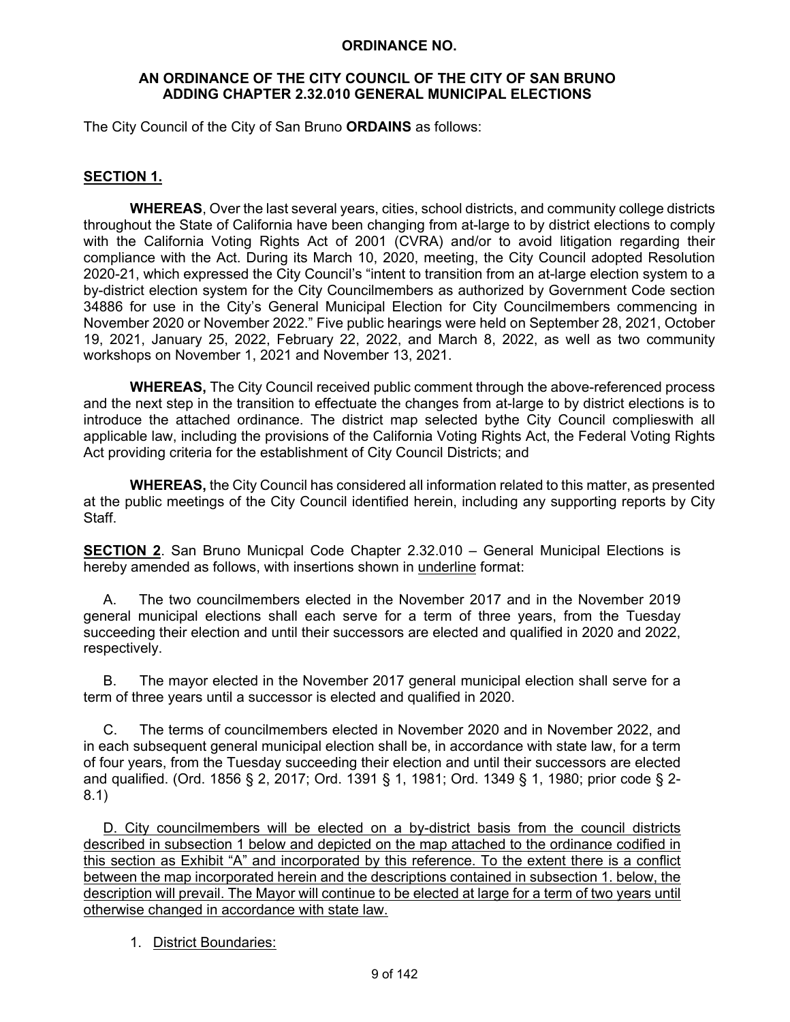#### **ORDINANCE NO.**

#### **AN ORDINANCE OF THE CITY COUNCIL OF THE CITY OF SAN BRUNO ADDING CHAPTER 2.32.010 GENERAL MUNICIPAL ELECTIONS**

The City Council of the City of San Bruno **ORDAINS** as follows:

### **SECTION 1.**

**WHEREAS**, Over the last several years, cities, school districts, and community college districts throughout the State of California have been changing from at-large to by district elections to comply with the California Voting Rights Act of 2001 (CVRA) and/or to avoid litigation regarding their compliance with the Act. During its March 10, 2020, meeting, the City Council adopted Resolution 2020-21, which expressed the City Council's "intent to transition from an at-large election system to a by-district election system for the City Councilmembers as authorized by Government Code section 34886 for use in the City's General Municipal Election for City Councilmembers commencing in November 2020 or November 2022." Five public hearings were held on September 28, 2021, October 19, 2021, January 25, 2022, February 22, 2022, and March 8, 2022, as well as two community workshops on November 1, 2021 and November 13, 2021.

**WHEREAS,** The City Council received public comment through the above-referenced process and the next step in the transition to effectuate the changes from at-large to by district elections is to introduce the attached ordinance. The district map selected bythe City Council complieswith all applicable law, including the provisions of the California Voting Rights Act, the Federal Voting Rights Act providing criteria for the establishment of City Council Districts; and

**WHEREAS,** the City Council has considered all information related to this matter, as presented at the public meetings of the City Council identified herein, including any supporting reports by City Staff.

**SECTION 2**. San Bruno Municpal Code Chapter 2.32.010 – General Municipal Elections is hereby amended as follows, with insertions shown in underline format:

 A. The two councilmembers elected in the November 2017 and in the November 2019 general municipal elections shall each serve for a term of three years, from the Tuesday succeeding their election and until their successors are elected and qualified in 2020 and 2022, respectively.

 B. The mayor elected in the November 2017 general municipal election shall serve for a term of three years until a successor is elected and qualified in 2020.

 C. The terms of councilmembers elected in November 2020 and in November 2022, and in each subsequent general municipal election shall be, in accordance with state law, for a term of four years, from the Tuesday succeeding their election and until their successors are elected and qualified. (Ord. 1856 § 2, 2017; Ord. 1391 § 1, 1981; Ord. 1349 § 1, 1980; prior code § 2- 8.1)

 D. City councilmembers will be elected on a by-district basis from the council districts described in subsection 1 below and depicted on the map attached to the ordinance codified in this section as Exhibit "A" and incorporated by this reference. To the extent there is a conflict between the map incorporated herein and the descriptions contained in subsection 1. below, the description will prevail. The Mayor will continue to be elected at large for a term of two years until otherwise changed in accordance with state law.

#### 1. District Boundaries: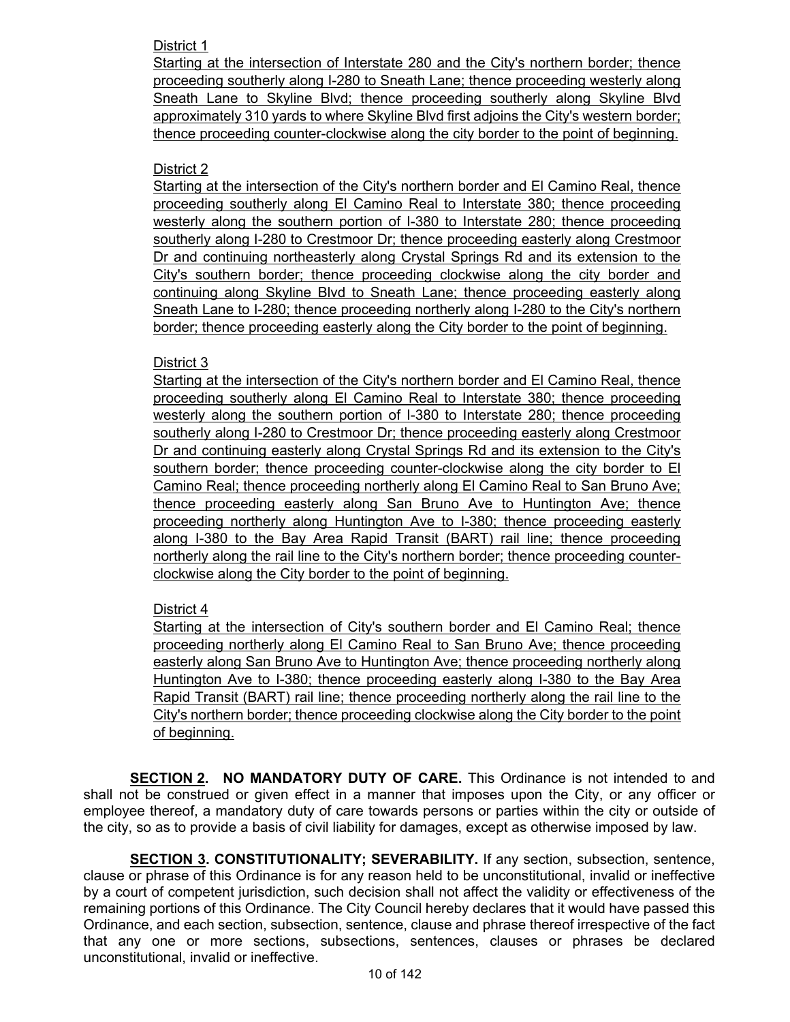## District 1

Starting at the intersection of Interstate 280 and the City's northern border; thence proceeding southerly along I-280 to Sneath Lane; thence proceeding westerly along Sneath Lane to Skyline Blvd; thence proceeding southerly along Skyline Blvd approximately 310 yards to where Skyline Blvd first adjoins the City's western border; thence proceeding counter-clockwise along the city border to the point of beginning.

## District 2

Starting at the intersection of the City's northern border and El Camino Real, thence proceeding southerly along El Camino Real to Interstate 380; thence proceeding westerly along the southern portion of I-380 to Interstate 280; thence proceeding southerly along I-280 to Crestmoor Dr; thence proceeding easterly along Crestmoor Dr and continuing northeasterly along Crystal Springs Rd and its extension to the City's southern border; thence proceeding clockwise along the city border and continuing along Skyline Blvd to Sneath Lane; thence proceeding easterly along Sneath Lane to I-280; thence proceeding northerly along I-280 to the City's northern border; thence proceeding easterly along the City border to the point of beginning.

### District 3

Starting at the intersection of the City's northern border and El Camino Real, thence proceeding southerly along El Camino Real to Interstate 380; thence proceeding westerly along the southern portion of I-380 to Interstate 280; thence proceeding southerly along I-280 to Crestmoor Dr; thence proceeding easterly along Crestmoor Dr and continuing easterly along Crystal Springs Rd and its extension to the City's southern border; thence proceeding counter-clockwise along the city border to El Camino Real; thence proceeding northerly along El Camino Real to San Bruno Ave; thence proceeding easterly along San Bruno Ave to Huntington Ave; thence proceeding northerly along Huntington Ave to I-380; thence proceeding easterly along I-380 to the Bay Area Rapid Transit (BART) rail line; thence proceeding northerly along the rail line to the City's northern border; thence proceeding counterclockwise along the City border to the point of beginning.

# District 4

Starting at the intersection of City's southern border and El Camino Real; thence proceeding northerly along El Camino Real to San Bruno Ave; thence proceeding easterly along San Bruno Ave to Huntington Ave; thence proceeding northerly along Huntington Ave to I-380; thence proceeding easterly along I-380 to the Bay Area Rapid Transit (BART) rail line; thence proceeding northerly along the rail line to the City's northern border; thence proceeding clockwise along the City border to the point of beginning.

**SECTION 2. NO MANDATORY DUTY OF CARE.** This Ordinance is not intended to and shall not be construed or given effect in a manner that imposes upon the City, or any officer or employee thereof, a mandatory duty of care towards persons or parties within the city or outside of the city, so as to provide a basis of civil liability for damages, except as otherwise imposed by law.

**SECTION 3. CONSTITUTIONALITY; SEVERABILITY.** If any section, subsection, sentence, clause or phrase of this Ordinance is for any reason held to be unconstitutional, invalid or ineffective by a court of competent jurisdiction, such decision shall not affect the validity or effectiveness of the remaining portions of this Ordinance. The City Council hereby declares that it would have passed this Ordinance, and each section, subsection, sentence, clause and phrase thereof irrespective of the fact that any one or more sections, subsections, sentences, clauses or phrases be declared unconstitutional, invalid or ineffective.